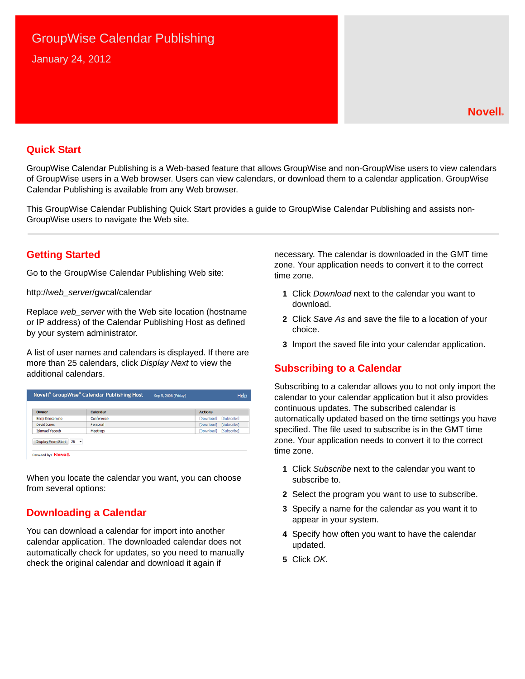# GroupWise Calendar Publishing January 24, 2012

### **Quick Start**

GroupWise Calendar Publishing is a Web-based feature that allows GroupWise and non-GroupWise users to view calendars of GroupWise users in a Web browser. Users can view calendars, or download them to a calendar application. GroupWise Calendar Publishing is available from any Web browser.

This GroupWise Calendar Publishing Quick Start provides a guide to GroupWise Calendar Publishing and assists non-GroupWise users to navigate the Web site.

### **Getting Started**

Go to the GroupWise Calendar Publishing Web site:

http://*web\_server*/gwcal/calendar

Replace *web\_server* with the Web site location (hostname or IP address) of the Calendar Publishing Host as defined by your system administrator.

A list of user names and calendars is displayed. If there are more than 25 calendars, click *Display Next* to view the additional calendars.

| Owner                 | Calendar   | <b>Actions</b>            |
|-----------------------|------------|---------------------------|
| Benji Gensomino       | Conference | [Subscribe]<br>[Download] |
| David Jones           | Personal   | [Download]<br>[Subscribe] |
| <b>Ishmael Yacoub</b> | Meetings   | [Subscribe]<br>[Download] |

When you locate the calendar you want, you can choose from several options:

## **Downloading a Calendar**

You can download a calendar for import into another calendar application. The downloaded calendar does not automatically check for updates, so you need to manually check the original calendar and download it again if

necessary. The calendar is downloaded in the GMT time zone. Your application needs to convert it to the correct time zone.

- **1** Click *Download* next to the calendar you want to download.
- **2** Click *Save As* and save the file to a location of your choice.
- **3** Import the saved file into your calendar application.

## **Subscribing to a Calendar**

Subscribing to a calendar allows you to not only import the calendar to your calendar application but it also provides continuous updates. The subscribed calendar is automatically updated based on the time settings you have specified. The file used to subscribe is in the GMT time zone. Your application needs to convert it to the correct time zone.

- **1** Click *Subscribe* next to the calendar you want to subscribe to.
- **2** Select the program you want to use to subscribe.
- **3** Specify a name for the calendar as you want it to appear in your system.
- **4** Specify how often you want to have the calendar updated.
- **5** Click *OK*.